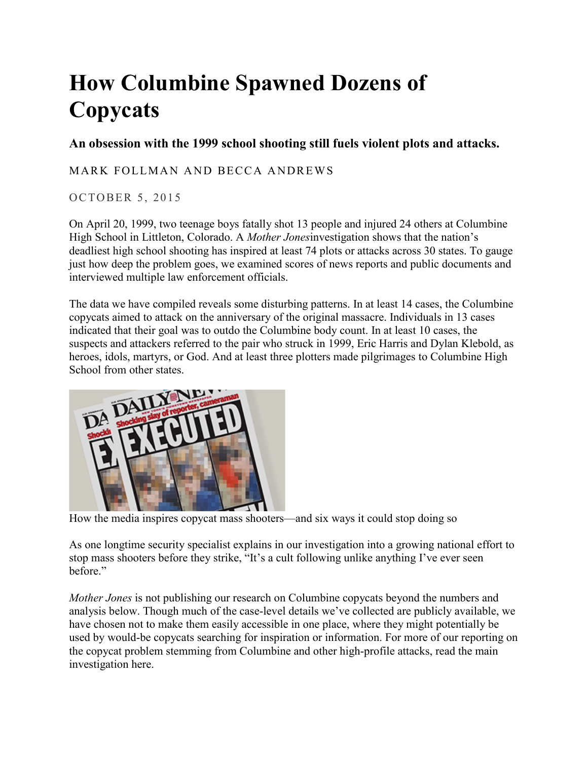## **How Columbine Spawned Dozens of Copycats**

## **An obsession with the 1999 school shooting still fuels violent plots and attacks.**

## [MARK FOLLMAN](https://www.motherjones.com/author/mark-follman/) AND [BECCA ANDREWS](https://www.motherjones.com/author/becca-andrews/)

## OCTOBER 5, 2015

On April 20, 1999, two teenage boys fatally shot 13 people and injured 24 others at Columbine High School in Littleton, Colorado. A *Mother Jones*investigation shows that the nation's deadliest high school shooting has inspired at least 74 plots or attacks across 30 states. To gauge just how deep the problem goes, we examined scores of news reports and public documents and interviewed multiple law enforcement officials.

The data we have compiled reveals some disturbing patterns. In at least 14 cases, the Columbine copycats aimed to attack on the anniversary of the original massacre. Individuals in 13 cases indicated that their goal was to outdo the Columbine body count. In at least 10 cases, the suspects and attackers referred to the pair who struck in 1999, Eric Harris and Dylan Klebold, as heroes, idols, martyrs, or God. And at least three plotters made pilgrimages to Columbine High School from other states.



[How the media inspires copycat mass shooters—and six ways it could stop doing so](http://www.motherjones.com/politics/2015/10/media-inspires-mass-shooters-copycats)

As one longtime security specialist explains in our investigation into [a growing national effort to](http://www.motherjones.com/politics/2015/09/threat-assessment-mass-shootings-fbi-columbine)  [stop mass shooters before they strike,](http://www.motherjones.com/politics/2015/09/threat-assessment-mass-shootings-fbi-columbine) "It's a cult following unlike anything I've ever seen before."

*Mother Jones* is not publishing our research on Columbine copycats beyond the numbers and analysis below. Though much of the case-level details we've collected are publicly available, we have chosen not to make them easily accessible in one place, where they might potentially be used by would-be copycats searching for inspiration or information. For more of our reporting on the copycat problem stemming from Columbine and other high-profile attacks, [read the main](http://www.motherjones.com/politics/2015/09/threat-assessment-mass-shootings-fbi-columbine)  [investigation here.](http://www.motherjones.com/politics/2015/09/threat-assessment-mass-shootings-fbi-columbine)